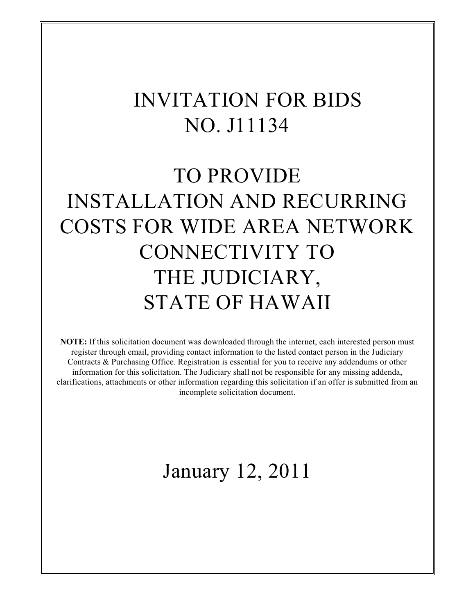# INVITATION FOR BIDS NO. J11134

# TO PROVIDE INSTALLATION AND RECURRING COSTS FOR WIDE AREA NETWORK CONNECTIVITY TO THE JUDICIARY, STATE OF HAWAII

**NOTE:** If this solicitation document was downloaded through the internet, each interested person must register through email, providing contact information to the listed contact person in the Judiciary Contracts & Purchasing Office. Registration is essential for you to receive any addendums or other information for this solicitation. The Judiciary shall not be responsible for any missing addenda, clarifications, attachments or other information regarding this solicitation if an offer is submitted from an incomplete solicitation document.

# January 12, 2011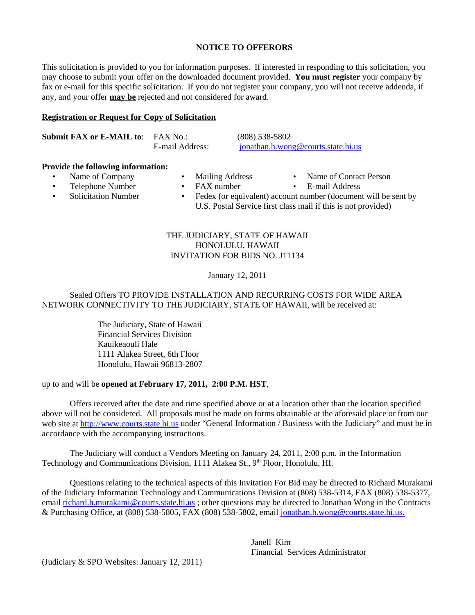#### **NOTICE TO OFFERORS**

This solicitation is provided to you for information purposes. If interested in responding to this solicitation, you may choose to submit your offer on the downloaded document provided. **You must register** your company by fax or e-mail for this specific solicitation. If you do not register your company, you will not receive addenda, if any, and your offer **may be** rejected and not considered for award.

#### **Registration or Request for Copy of Solicitation**

| <b>Submit FAX or E-MAIL to:</b> FAX No.: |                 | $(808)$ 538-5802                   |
|------------------------------------------|-----------------|------------------------------------|
|                                          | E-mail Address: | ionathan.h.wong@courts.state.hi.us |

#### **Provide the following information:**

Name of Company • Mailing Address • Name of Contact Person

 $\overline{a}$ 

- 
- 
- 
- Telephone Number FAX number E-mail Address
	- Solicitation Number Fedex (or equivalent) account number (document will be sent by U.S. Postal Service first class mail if this is not provided)

#### THE JUDICIARY, STATE OF HAWAII HONOLULU, HAWAII INVITATION FOR BIDS NO. J11134

January 12, 2011

# Sealed Offers TO PROVIDE INSTALLATION AND RECURRING COSTS FOR WIDE AREA NETWORK CONNECTIVITY TO THE JUDICIARY, STATE OF HAWAII, will be received at:

The Judiciary, State of Hawaii Financial Services Division Kauikeaouli Hale 1111 Alakea Street, 6th Floor Honolulu, Hawaii 96813-2807

#### up to and will be **opened at February 17, 2011, 2:00 P.M. HST**,

Offers received after the date and time specified above or at a location other than the location specified above will not be considered. All proposals must be made on forms obtainable at the aforesaid place or from our web site at http://www.courts.state.hi.us under "General Information / Business with the Judiciary" and must be in accordance with the accompanying instructions.

The Judiciary will conduct a Vendors Meeting on January 24, 2011, 2:00 p.m. in the Information Technology and Communications Division, 1111 Alakea St., 9<sup>th</sup> Floor, Honolulu, HI.

Questions relating to the technical aspects of this Invitation For Bid may be directed to Richard Murakami of the Judiciary Information Technology and Communications Division at (808) 538-5314, FAX (808) 538-5377, email richard.h.murakami@courts.state.hi.us ; other questions may be directed to Jonathan Wong in the Contracts & Purchasing Office, at (808) 538-5805, FAX (808) 538-5802, email jonathan.h.wong@courts.state.hi.us.

> Janell Kim Financial Services Administrator

(Judiciary & SPO Websites: January 12, 2011)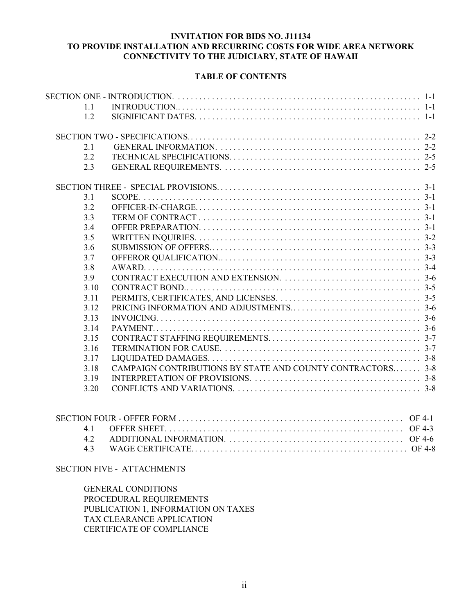# **INVITATION FOR BIDS NO. J11134 TO PROVIDE INSTALLATION AND RECURRING COSTS FOR WIDE AREA NETWORK CONNECTIVITY TO THE JUDICIARY, STATE OF HAWAII**

#### **TABLE OF CONTENTS**

| 1.1  |                                                            |  |
|------|------------------------------------------------------------|--|
| 1.2  |                                                            |  |
|      |                                                            |  |
| 2.1  |                                                            |  |
| 2.2  |                                                            |  |
| 2.3  |                                                            |  |
|      |                                                            |  |
| 3.1  |                                                            |  |
| 3.2  |                                                            |  |
| 3.3  |                                                            |  |
| 3.4  |                                                            |  |
| 3.5  |                                                            |  |
| 3.6  |                                                            |  |
| 3.7  |                                                            |  |
| 3.8  |                                                            |  |
| 3.9  |                                                            |  |
| 3.10 |                                                            |  |
| 3.11 |                                                            |  |
| 3.12 |                                                            |  |
| 3.13 |                                                            |  |
| 3.14 |                                                            |  |
| 3.15 |                                                            |  |
| 3.16 |                                                            |  |
| 3.17 |                                                            |  |
| 3.18 | CAMPAIGN CONTRIBUTIONS BY STATE AND COUNTY CONTRACTORS 3-8 |  |
| 3.19 |                                                            |  |
| 3.20 |                                                            |  |
|      |                                                            |  |

#### SECTION FIVE - ATTACHMENTS

GENERAL CONDITIONS PROCEDURAL REQUIREMENTS PUBLICATION 1, INFORMATION ON TAXES TAX CLEARANCE APPLICATION CERTIFICATE OF COMPLIANCE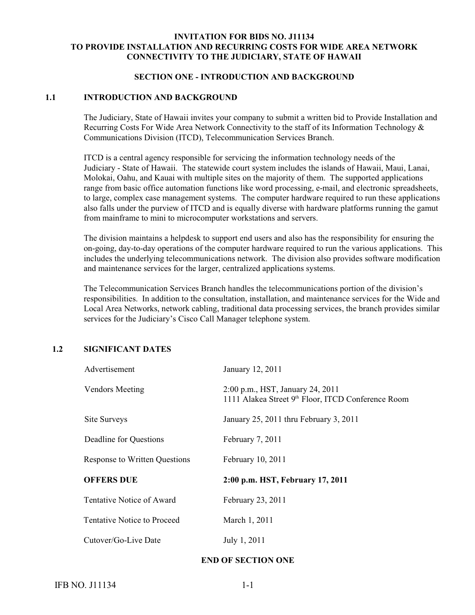#### **INVITATION FOR BIDS NO. J11134 TO PROVIDE INSTALLATION AND RECURRING COSTS FOR WIDE AREA NETWORK CONNECTIVITY TO THE JUDICIARY, STATE OF HAWAII**

#### **SECTION ONE - INTRODUCTION AND BACKGROUND**

#### **1.1 INTRODUCTION AND BACKGROUND**

The Judiciary, State of Hawaii invites your company to submit a written bid to Provide Installation and Recurring Costs For Wide Area Network Connectivity to the staff of its Information Technology & Communications Division (ITCD), Telecommunication Services Branch.

ITCD is a central agency responsible for servicing the information technology needs of the Judiciary - State of Hawaii. The statewide court system includes the islands of Hawaii, Maui, Lanai, Molokai, Oahu, and Kauai with multiple sites on the majority of them. The supported applications range from basic office automation functions like word processing, e-mail, and electronic spreadsheets, to large, complex case management systems. The computer hardware required to run these applications also falls under the purview of ITCD and is equally diverse with hardware platforms running the gamut from mainframe to mini to microcomputer workstations and servers.

The division maintains a helpdesk to support end users and also has the responsibility for ensuring the on-going, day-to-day operations of the computer hardware required to run the various applications. This includes the underlying telecommunications network. The division also provides software modification and maintenance services for the larger, centralized applications systems.

The Telecommunication Services Branch handles the telecommunications portion of the division's responsibilities. In addition to the consultation, installation, and maintenance services for the Wide and Local Area Networks, network cabling, traditional data processing services, the branch provides similar services for the Judiciary's Cisco Call Manager telephone system.

#### **1.2 SIGNIFICANT DATES**

| Advertisement                 | January 12, 2011                                                                       |
|-------------------------------|----------------------------------------------------------------------------------------|
| <b>Vendors Meeting</b>        | 2:00 p.m., HST, January 24, 2011<br>1111 Alakea Street 9th Floor, ITCD Conference Room |
| Site Surveys                  | January 25, 2011 thru February 3, 2011                                                 |
| Deadline for Questions        | February 7, 2011                                                                       |
| Response to Written Questions | February 10, 2011                                                                      |
| <b>OFFERS DUE</b>             | 2:00 p.m. HST, February 17, 2011                                                       |
| Tentative Notice of Award     | February 23, 2011                                                                      |
| Tentative Notice to Proceed   | March 1, 2011                                                                          |
| Cutover/Go-Live Date          | July 1, 2011                                                                           |

#### **END OF SECTION ONE**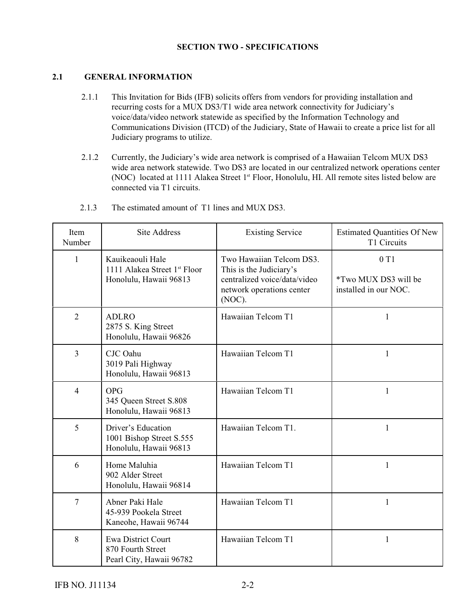# **SECTION TWO - SPECIFICATIONS**

# **2.1 GENERAL INFORMATION**

- 2.1.1 This Invitation for Bids (IFB) solicits offers from vendors for providing installation and recurring costs for a MUX DS3/T1 wide area network connectivity for Judiciary's voice/data/video network statewide as specified by the Information Technology and Communications Division (ITCD) of the Judiciary, State of Hawaii to create a price list for all Judiciary programs to utilize.
- 2.1.2 Currently, the Judiciary's wide area network is comprised of a Hawaiian Telcom MUX DS3 wide area network statewide. Two DS3 are located in our centralized network operations center (NOC) located at 1111 Alakea Street 1<sup>st</sup> Floor, Honolulu, HI. All remote sites listed below are connected via T1 circuits.

| Item<br>Number | <b>Site Address</b>                                                                    | <b>Existing Service</b>                                                                                                    | <b>Estimated Quantities Of New</b><br>T1 Circuits           |
|----------------|----------------------------------------------------------------------------------------|----------------------------------------------------------------------------------------------------------------------------|-------------------------------------------------------------|
| $\mathbf{1}$   | Kauikeaouli Hale<br>1111 Alakea Street 1 <sup>st</sup> Floor<br>Honolulu, Hawaii 96813 | Two Hawaiian Telcom DS3.<br>This is the Judiciary's<br>centralized voice/data/video<br>network operations center<br>(NOC). | 0T1<br><i>*Two MUX DS3 will be</i><br>installed in our NOC. |
| $\overline{2}$ | <b>ADLRO</b><br>2875 S. King Street<br>Honolulu, Hawaii 96826                          | Hawaiian Telcom T1                                                                                                         | 1                                                           |
| 3              | CJC Oahu<br>3019 Pali Highway<br>Honolulu, Hawaii 96813                                | Hawaiian Telcom T1                                                                                                         | 1                                                           |
| $\overline{4}$ | <b>OPG</b><br>345 Queen Street S.808<br>Honolulu, Hawaii 96813                         | Hawaiian Telcom T1                                                                                                         | 1                                                           |
| 5              | Driver's Education<br>1001 Bishop Street S.555<br>Honolulu, Hawaii 96813               | Hawaiian Telcom T1.                                                                                                        | 1                                                           |
| 6              | Home Maluhia<br>902 Alder Street<br>Honolulu, Hawaii 96814                             | Hawaiian Telcom T1                                                                                                         | 1                                                           |
| 7              | Abner Paki Hale<br>45-939 Pookela Street<br>Kaneohe, Hawaii 96744                      | Hawaiian Telcom T1                                                                                                         | 1                                                           |
| 8              | <b>Ewa District Court</b><br>870 Fourth Street<br>Pearl City, Hawaii 96782             | Hawaiian Telcom T1                                                                                                         | 1                                                           |

2.1.3 The estimated amount of T1 lines and MUX DS3.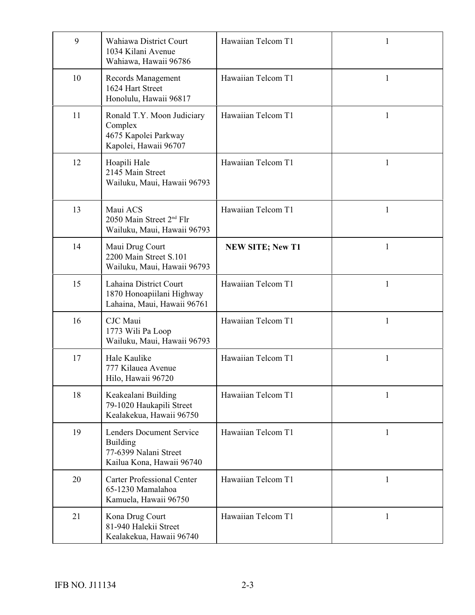| 9  | Wahiawa District Court<br>1034 Kilani Avenue<br>Wahiawa, Hawaii 96786                                    | Hawaiian Telcom T1      | 1            |
|----|----------------------------------------------------------------------------------------------------------|-------------------------|--------------|
| 10 | Records Management<br>1624 Hart Street<br>Honolulu, Hawaii 96817                                         | Hawaiian Telcom T1      | 1            |
| 11 | Ronald T.Y. Moon Judiciary<br>Complex<br>4675 Kapolei Parkway<br>Kapolei, Hawaii 96707                   | Hawaiian Telcom T1      | 1            |
| 12 | Hoapili Hale<br>2145 Main Street<br>Wailuku, Maui, Hawaii 96793                                          | Hawaiian Telcom T1      | 1            |
| 13 | Maui ACS<br>2050 Main Street 2 <sup>nd</sup> Flr<br>Wailuku, Maui, Hawaii 96793                          | Hawaiian Telcom T1      | 1            |
| 14 | Maui Drug Court<br>2200 Main Street S.101<br>Wailuku, Maui, Hawaii 96793                                 | <b>NEW SITE; New T1</b> | 1            |
| 15 | Lahaina District Court<br>1870 Honoapiilani Highway<br>Lahaina, Maui, Hawaii 96761                       | Hawaiian Telcom T1      | 1            |
| 16 | CJC Maui<br>1773 Wili Pa Loop<br>Wailuku, Maui, Hawaii 96793                                             | Hawaiian Telcom T1      | 1            |
| 17 | Hale Kaulike<br>777 Kilauea Avenue<br>Hilo, Hawaii 96720                                                 | Hawaiian Telcom T1      | 1            |
| 18 | Keakealani Building<br>79-1020 Haukapili Street<br>Kealakekua, Hawaii 96750                              | Hawaiian Telcom T1      | 1            |
| 19 | <b>Lenders Document Service</b><br><b>Building</b><br>77-6399 Nalani Street<br>Kailua Kona, Hawaii 96740 | Hawaiian Telcom T1      | $\mathbf{1}$ |
| 20 | <b>Carter Professional Center</b><br>65-1230 Mamalahoa<br>Kamuela, Hawaii 96750                          | Hawaiian Telcom T1      | 1            |
| 21 | Kona Drug Court<br>81-940 Halekii Street<br>Kealakekua, Hawaii 96740                                     | Hawaiian Telcom T1      | 1            |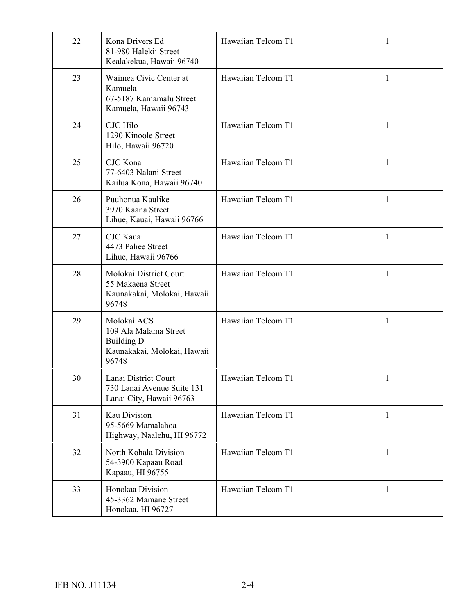| 22 | Kona Drivers Ed<br>81-980 Halekii Street<br>Kealakekua, Hawaii 96740                              | Hawaiian Telcom T1 | 1            |
|----|---------------------------------------------------------------------------------------------------|--------------------|--------------|
| 23 | Waimea Civic Center at<br>Kamuela<br>67-5187 Kamamalu Street<br>Kamuela, Hawaii 96743             | Hawaiian Telcom T1 | 1            |
| 24 | <b>CJC</b> Hilo<br>1290 Kinoole Street<br>Hilo, Hawaii 96720                                      | Hawaiian Telcom T1 | $\mathbf{1}$ |
| 25 | CJC Kona<br>77-6403 Nalani Street<br>Kailua Kona, Hawaii 96740                                    | Hawaiian Telcom T1 | 1            |
| 26 | Puuhonua Kaulike<br>3970 Kaana Street<br>Lihue, Kauai, Hawaii 96766                               | Hawaiian Telcom T1 | $\mathbf{1}$ |
| 27 | <b>CJC</b> Kauai<br>4473 Pahee Street<br>Lihue, Hawaii 96766                                      | Hawaiian Telcom T1 | $\mathbf{1}$ |
| 28 | Molokai District Court<br>55 Makaena Street<br>Kaunakakai, Molokai, Hawaii<br>96748               | Hawaiian Telcom T1 | 1            |
| 29 | Molokai ACS<br>109 Ala Malama Street<br><b>Building D</b><br>Kaunakakai, Molokai, Hawaii<br>96748 | Hawaiian Telcom T1 | 1            |
| 30 | Lanai District Court<br>730 Lanai Avenue Suite 131<br>Lanai City, Hawaii 96763                    | Hawaiian Telcom T1 | $\mathbf{1}$ |
| 31 | Kau Division<br>95-5669 Mamalahoa<br>Highway, Naalehu, HI 96772                                   | Hawaiian Telcom T1 | $\mathbf{1}$ |
| 32 | North Kohala Division<br>54-3900 Kapaau Road<br>Kapaau, HI 96755                                  | Hawaiian Telcom T1 | $\mathbf{1}$ |
| 33 | Honokaa Division<br>45-3362 Mamane Street<br>Honokaa, HI 96727                                    | Hawaiian Telcom T1 | $\mathbf{1}$ |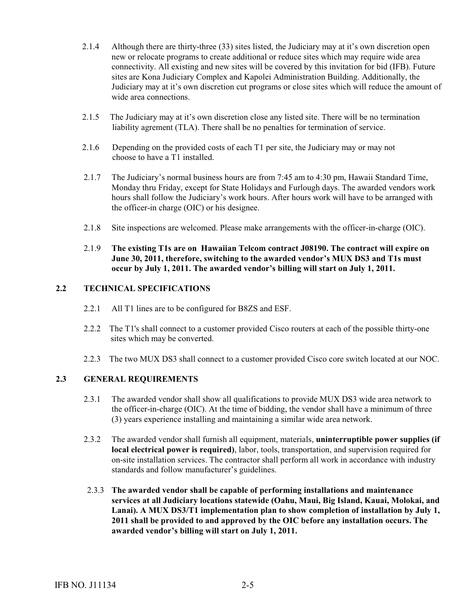- 2.1.4 Although there are thirty-three (33) sites listed, the Judiciary may at it's own discretion open new or relocate programs to create additional or reduce sites which may require wide area connectivity. All existing and new sites will be covered by this invitation for bid (IFB). Future sites are Kona Judiciary Complex and Kapolei Administration Building. Additionally, the Judiciary may at it's own discretion cut programs or close sites which will reduce the amount of wide area connections.
- 2.1.5 The Judiciary may at it's own discretion close any listed site. There will be no termination liability agrement (TLA). There shall be no penalties for termination of service.
- 2.1.6 Depending on the provided costs of each T1 per site, the Judiciary may or may not choose to have a T1 installed.
- 2.1.7 The Judiciary's normal business hours are from 7:45 am to 4:30 pm, Hawaii Standard Time, Monday thru Friday, except for State Holidays and Furlough days. The awarded vendors work hours shall follow the Judiciary's work hours. After hours work will have to be arranged with the officer-in charge (OIC) or his designee.
- 2.1.8 Site inspections are welcomed. Please make arrangements with the officer-in-charge (OIC).
- 2.1.9 **The existing T1s are on Hawaiian Telcom contract J08190. The contract will expire on June 30, 2011, therefore, switching to the awarded vendor's MUX DS3 and T1s must occur by July 1, 2011. The awarded vendor's billing will start on July 1, 2011.**

#### **2.2 TECHNICAL SPECIFICATIONS**

- 2.2.1 All T1 lines are to be configured for B8ZS and ESF.
- 2.2.2 The T1's shall connect to a customer provided Cisco routers at each of the possible thirty-one sites which may be converted.
- 2.2.3 The two MUX DS3 shall connect to a customer provided Cisco core switch located at our NOC.

#### **2.3 GENERAL REQUIREMENTS**

- 2.3.1 The awarded vendor shall show all qualifications to provide MUX DS3 wide area network to the officer-in-charge (OIC). At the time of bidding, the vendor shall have a minimum of three (3) years experience installing and maintaining a similar wide area network.
- 2.3.2 The awarded vendor shall furnish all equipment, materials, **uninterruptible power supplies (if local electrical power is required)**, labor, tools, transportation, and supervision required for on-site installation services. The contractor shall perform all work in accordance with industry standards and follow manufacturer's guidelines.
- 2.3.3 **The awarded vendor shall be capable of performing installations and maintenance services at all Judiciary locations statewide (Oahu, Maui, Big Island, Kauai, Molokai, and Lanai). A MUX DS3/T1 implementation plan to show completion of installation by July 1, 2011 shall be provided to and approved by the OIC before any installation occurs. The awarded vendor's billing will start on July 1, 2011.**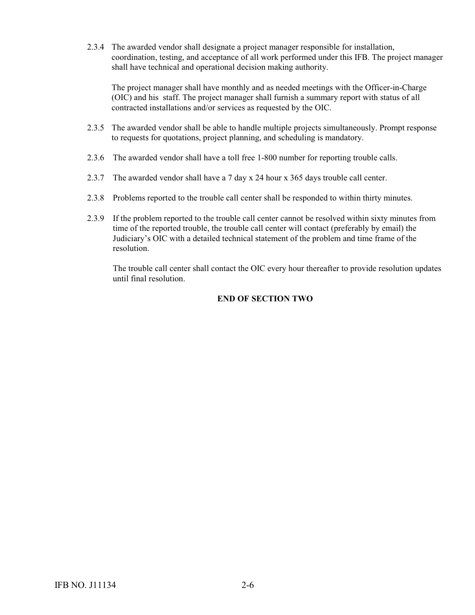2.3.4 The awarded vendor shall designate a project manager responsible for installation, coordination, testing, and acceptance of all work performed under this IFB. The project manager shall have technical and operational decision making authority.

The project manager shall have monthly and as needed meetings with the Officer-in-Charge (OIC) and his staff. The project manager shall furnish a summary report with status of all contracted installations and/or services as requested by the OIC.

- 2.3.5 The awarded vendor shall be able to handle multiple projects simultaneously. Prompt response to requests for quotations, project planning, and scheduling is mandatory.
- 2.3.6 The awarded vendor shall have a toll free 1-800 number for reporting trouble calls.
- 2.3.7 The awarded vendor shall have a 7 day x 24 hour x 365 days trouble call center.
- 2.3.8 Problems reported to the trouble call center shall be responded to within thirty minutes.
- 2.3.9 If the problem reported to the trouble call center cannot be resolved within sixty minutes from time of the reported trouble, the trouble call center will contact (preferably by email) the Judiciary's OIC with a detailed technical statement of the problem and time frame of the resolution.

 The trouble call center shall contact the OIC every hour thereafter to provide resolution updates until final resolution.

# **END OF SECTION TWO**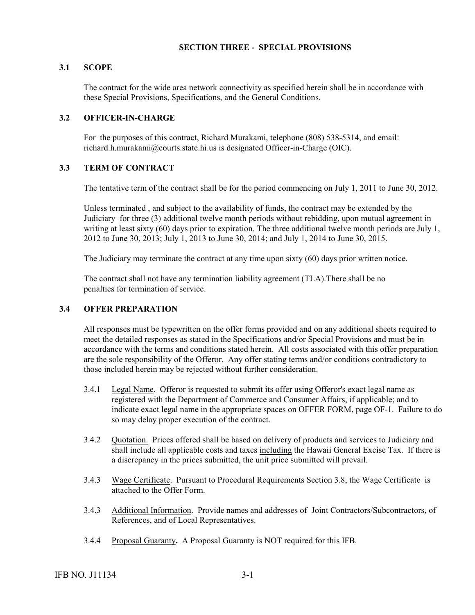## **SECTION THREE - SPECIAL PROVISIONS**

#### **3.1 SCOPE**

 The contract for the wide area network connectivity as specified herein shall be in accordance with these Special Provisions, Specifications, and the General Conditions.

#### **3.2 OFFICER-IN-CHARGE**

For the purposes of this contract, Richard Murakami, telephone (808) 538-5314, and email: richard.h.murakami@courts.state.hi.us is designated Officer-in-Charge (OIC).

#### **3.3 TERM OF CONTRACT**

The tentative term of the contract shall be for the period commencing on July 1, 2011 to June 30, 2012.

Unless terminated , and subject to the availability of funds, the contract may be extended by the Judiciary for three (3) additional twelve month periods without rebidding, upon mutual agreement in writing at least sixty (60) days prior to expiration. The three additional twelve month periods are July 1, 2012 to June 30, 2013; July 1, 2013 to June 30, 2014; and July 1, 2014 to June 30, 2015.

The Judiciary may terminate the contract at any time upon sixty (60) days prior written notice.

 The contract shall not have any termination liability agreement (TLA).There shall be no penalties for termination of service.

#### **3.4 OFFER PREPARATION**

All responses must be typewritten on the offer forms provided and on any additional sheets required to meet the detailed responses as stated in the Specifications and/or Special Provisions and must be in accordance with the terms and conditions stated herein. All costs associated with this offer preparation are the sole responsibility of the Offeror. Any offer stating terms and/or conditions contradictory to those included herein may be rejected without further consideration.

- 3.4.1 Legal Name. Offeror is requested to submit its offer using Offeror's exact legal name as registered with the Department of Commerce and Consumer Affairs, if applicable; and to indicate exact legal name in the appropriate spaces on OFFER FORM, page OF-1. Failure to do so may delay proper execution of the contract.
- 3.4.2 Quotation. Prices offered shall be based on delivery of products and services to Judiciary and shall include all applicable costs and taxes including the Hawaii General Excise Tax. If there is a discrepancy in the prices submitted, the unit price submitted will prevail.
- 3.4.3 Wage Certificate. Pursuant to Procedural Requirements Section 3.8, the Wage Certificate is attached to the Offer Form.
- 3.4.3 Additional Information. Provide names and addresses of Joint Contractors/Subcontractors, of References, and of Local Representatives.
- 3.4.4 Proposal Guaranty**.** A Proposal Guaranty is NOT required for this IFB.

IFB NO. J11134 3-1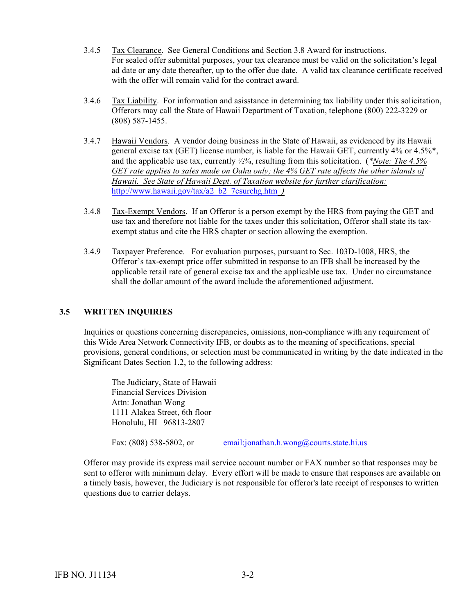- 3.4.5 Tax Clearance. See General Conditions and Section 3.8 Award for instructions. For sealed offer submittal purposes, your tax clearance must be valid on the solicitation's legal ad date or any date thereafter, up to the offer due date. A valid tax clearance certificate received with the offer will remain valid for the contract award.
- 3.4.6 Tax Liability. For information and asisstance in determining tax liability under this solicitation, Offerors may call the State of Hawaii Department of Taxation, telephone (800) 222-3229 or (808) 587-1455.
- 3.4.7 Hawaii Vendors. A vendor doing business in the State of Hawaii, as evidenced by its Hawaii general excise tax (GET) license number, is liable for the Hawaii GET, currently 4% or 4.5%\*, and the applicable use tax, currently ½%, resulting from this solicitation. (*\*Note: The 4.5% GET rate applies to sales made on Oahu only; the 4% GET rate affects the other islands of Hawaii. See State of Hawaii Dept. of Taxation website for further clarification:* [http://www.hawaii.gov/tax/a2\\_b2\\_7csurchg.htm](http://www.hawaii.gov/tax/a2_b2_7csurchg.htm) *)*
- 3.4.8 Tax-Exempt Vendors. If an Offeror is a person exempt by the HRS from paying the GET and use tax and therefore not liable for the taxes under this solicitation, Offeror shall state its taxexempt status and cite the HRS chapter or section allowing the exemption.
- 3.4.9 Taxpayer Preference. For evaluation purposes, pursuant to Sec. 103D-1008, HRS, the Offeror's tax-exempt price offer submitted in response to an IFB shall be increased by the applicable retail rate of general excise tax and the applicable use tax. Under no circumstance shall the dollar amount of the award include the aforementioned adjustment.

#### **3.5 WRITTEN INQUIRIES**

Inquiries or questions concerning discrepancies, omissions, non-compliance with any requirement of this Wide Area Network Connectivity IFB, or doubts as to the meaning of specifications, special provisions, general conditions, or selection must be communicated in writing by the date indicated in the Significant Dates Section 1.2, to the following address:

The Judiciary, State of Hawaii Financial Services Division Attn: Jonathan Wong 1111 Alakea Street, 6th floor Honolulu, HI 96813-2807

Fax: (808) 538-5802, or [email:jonathan.h.wong@courts.state.hi.us](mailto:email:jonathan.h.wong@courts.state.hi.us)

Offeror may provide its express mail service account number or FAX number so that responses may be sent to offeror with minimum delay. Every effort will be made to ensure that responses are available on a timely basis, however, the Judiciary is not responsible for offeror's late receipt of responses to written questions due to carrier delays.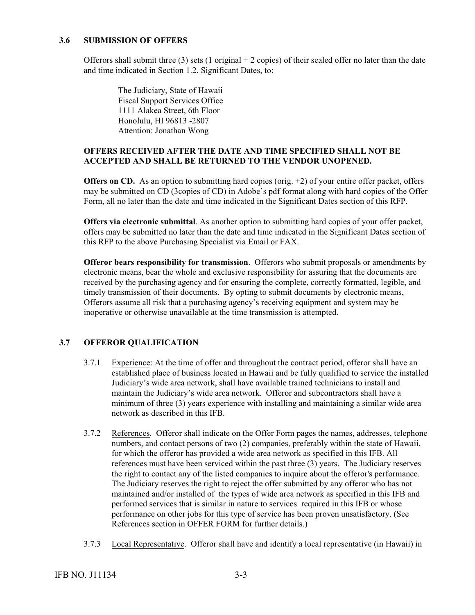#### **3.6 SUBMISSION OF OFFERS**

Offerors shall submit three (3) sets (1 original  $+ 2$  copies) of their sealed offer no later than the date and time indicated in Section 1.2, Significant Dates, to:

 The Judiciary, State of Hawaii Fiscal Support Services Office 1111 Alakea Street, 6th Floor Honolulu, HI 96813 -2807 Attention: Jonathan Wong

# **OFFERS RECEIVED AFTER THE DATE AND TIME SPECIFIED SHALL NOT BE ACCEPTED AND SHALL BE RETURNED TO THE VENDOR UNOPENED.**

**Offers on CD.** As an option to submitting hard copies (orig. +2) of your entire offer packet, offers may be submitted on CD (3copies of CD) in Adobe's pdf format along with hard copies of the Offer Form, all no later than the date and time indicated in the Significant Dates section of this RFP.

**Offers via electronic submittal**. As another option to submitting hard copies of your offer packet, offers may be submitted no later than the date and time indicated in the Significant Dates section of this RFP to the above Purchasing Specialist via Email or FAX.

**Offeror bears responsibility for transmission**. Offerors who submit proposals or amendments by electronic means, bear the whole and exclusive responsibility for assuring that the documents are received by the purchasing agency and for ensuring the complete, correctly formatted, legible, and timely transmission of their documents. By opting to submit documents by electronic means, Offerors assume all risk that a purchasing agency's receiving equipment and system may be inoperative or otherwise unavailable at the time transmission is attempted.

#### **3.7 OFFEROR QUALIFICATION**

- 3.7.1 Experience: At the time of offer and throughout the contract period, offeror shall have an established place of business located in Hawaii and be fully qualified to service the installed Judiciary's wide area network, shall have available trained technicians to install and maintain the Judiciary's wide area network. Offeror and subcontractors shall have a minimum of three (3) years experience with installing and maintaining a similar wide area network as described in this IFB.
- 3.7.2 References. Offeror shall indicate on the Offer Form pages the names, addresses, telephone numbers, and contact persons of two (2) companies, preferably within the state of Hawaii, for which the offeror has provided a wide area network as specified in this IFB. All references must have been serviced within the past three (3) years. The Judiciary reserves the right to contact any of the listed companies to inquire about the offeror's performance. The Judiciary reserves the right to reject the offer submitted by any offeror who has not maintained and/or installed of the types of wide area network as specified in this IFB and performed services that is similar in nature to services required in this IFB or whose performance on other jobs for this type of service has been proven unsatisfactory. (See References section in OFFER FORM for further details.)
- 3.7.3 Local Representative. Offeror shall have and identify a local representative (in Hawaii) in

IFB NO. J11134 3-3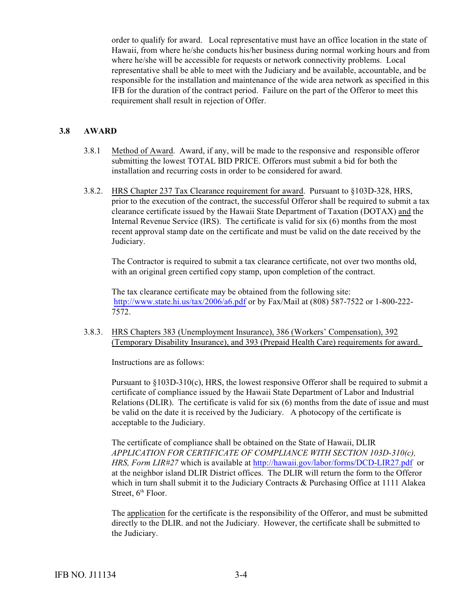order to qualify for award. Local representative must have an office location in the state of Hawaii, from where he/she conducts his/her business during normal working hours and from where he/she will be accessible for requests or network connectivity problems. Local representative shall be able to meet with the Judiciary and be available, accountable, and be responsible for the installation and maintenance of the wide area network as specified in this IFB for the duration of the contract period. Failure on the part of the Offeror to meet this requirement shall result in rejection of Offer.

#### **3.8 AWARD**

- 3.8.1 Method of Award. Award, if any, will be made to the responsive and responsible offeror submitting the lowest TOTAL BID PRICE. Offerors must submit a bid for both the installation and recurring costs in order to be considered for award.
- 3.8.2. HRS Chapter 237 Tax Clearance requirement for award. Pursuant to §103D-328, HRS, prior to the execution of the contract, the successful Offeror shall be required to submit a tax clearance certificate issued by the Hawaii State Department of Taxation (DOTAX) and the Internal Revenue Service (IRS). The certificate is valid for six (6) months from the most recent approval stamp date on the certificate and must be valid on the date received by the Judiciary.

The Contractor is required to submit a tax clearance certificate, not over two months old, with an original green certified copy stamp, upon completion of the contract.

The tax clearance certificate may be obtained from the following site: <http://www.state.hi.us/tax/2006/a6.pdf> or by Fax/Mail at (808) 587-7522 or 1-800-222- 7572.

3.8.3. HRS Chapters 383 (Unemployment Insurance), 386 (Workers' Compensation), 392 (Temporary Disability Insurance), and 393 (Prepaid Health Care) requirements for award.

Instructions are as follows:

Pursuant to §103D-310(c), HRS, the lowest responsive Offeror shall be required to submit a certificate of compliance issued by the Hawaii State Department of Labor and Industrial Relations (DLIR). The certificate is valid for  $six(6)$  months from the date of issue and must be valid on the date it is received by the Judiciary. A photocopy of the certificate is acceptable to the Judiciary.

The certificate of compliance shall be obtained on the State of Hawaii, DLIR *APPLICATION FOR CERTIFICATE OF COMPLIANCE WITH SECTION 103D-310(c), HRS, Form LIR#27* which is available at <http://hawaii.gov/labor/forms/DCD-LIR27.pdf> or at the neighbor island DLIR District offices. The DLIR will return the form to the Offeror which in turn shall submit it to the Judiciary Contracts & Purchasing Office at 1111 Alakea Street,  $6<sup>th</sup>$  Floor.

The application for the certificate is the responsibility of the Offeror, and must be submitted directly to the DLIR. and not the Judiciary. However, the certificate shall be submitted to the Judiciary.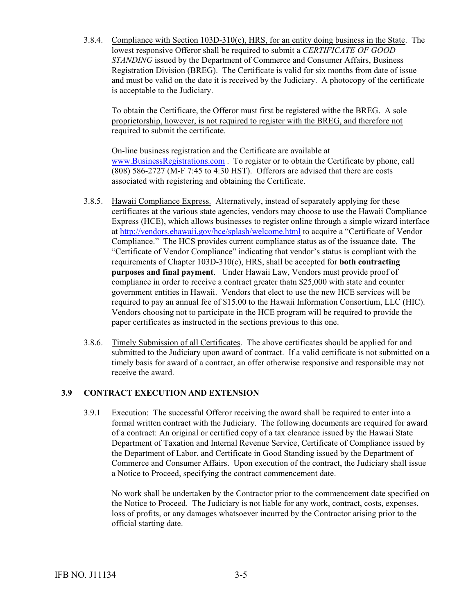3.8.4. Compliance with Section 103D-310(c), HRS, for an entity doing business in the State. The lowest responsive Offeror shall be required to submit a *CERTIFICATE OF GOOD STANDING* issued by the Department of Commerce and Consumer Affairs, Business Registration Division (BREG). The Certificate is valid for six months from date of issue and must be valid on the date it is received by the Judiciary. A photocopy of the certificate is acceptable to the Judiciary.

To obtain the Certificate, the Offeror must first be registered withe the BREG. A sole proprietorship, however, is not required to register with the BREG, and therefore not required to submit the certificate.

On-line business registration and the Certificate are available at [www.BusinessRegistrations.com](http://www.BusinessRegistrations.com) . To register or to obtain the Certificate by phone, call (808) 586-2727 (M-F 7:45 to 4:30 HST). Offerors are advised that there are costs associated with registering and obtaining the Certificate.

- 3.8.5. Hawaii Compliance Express. Alternatively, instead of separately applying for these certificates at the various state agencies, vendors may choose to use the Hawaii Compliance Express (HCE), which allows businesses to register online through a simple wizard interface at <http://vendors.ehawaii.gov/hce/splash/welcome.html> to acquire a "Certificate of Vendor Compliance." The HCS provides current compliance status as of the issuance date. The "Certificate of Vendor Compliance" indicating that vendor's status is compliant with the requirements of Chapter 103D-310(c), HRS, shall be accepted for **both contracting purposes and final payment**. Under Hawaii Law, Vendors must provide proof of compliance in order to receive a contract greater thatn \$25,000 with state and counter government entities in Hawaii. Vendors that elect to use the new HCE services will be required to pay an annual fee of \$15.00 to the Hawaii Information Consortium, LLC (HIC). Vendors choosing not to participate in the HCE program will be required to provide the paper certificates as instructed in the sections previous to this one.
- 3.8.6. Timely Submission of all Certificates. The above certificates should be applied for and submitted to the Judiciary upon award of contract. If a valid certificate is not submitted on a timely basis for award of a contract, an offer otherwise responsive and responsible may not receive the award.

# **3.9 CONTRACT EXECUTION AND EXTENSION**

3.9.1 Execution: The successful Offeror receiving the award shall be required to enter into a formal written contract with the Judiciary. The following documents are required for award of a contract: An original or certified copy of a tax clearance issued by the Hawaii State Department of Taxation and Internal Revenue Service, Certificate of Compliance issued by the Department of Labor, and Certificate in Good Standing issued by the Department of Commerce and Consumer Affairs. Upon execution of the contract, the Judiciary shall issue a Notice to Proceed, specifying the contract commencement date.

No work shall be undertaken by the Contractor prior to the commencement date specified on the Notice to Proceed. The Judiciary is not liable for any work, contract, costs, expenses, loss of profits, or any damages whatsoever incurred by the Contractor arising prior to the official starting date.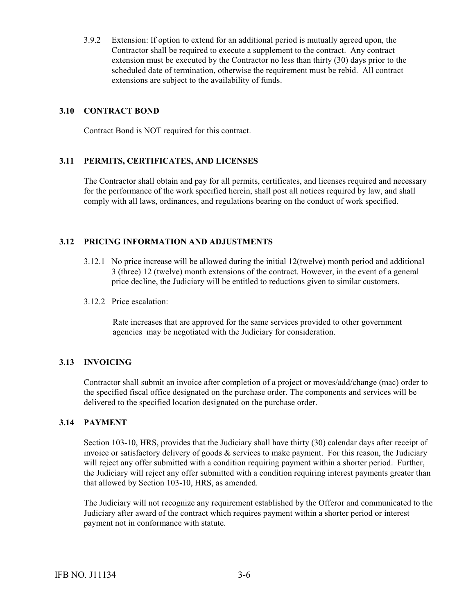3.9.2 Extension: If option to extend for an additional period is mutually agreed upon, the Contractor shall be required to execute a supplement to the contract. Any contract extension must be executed by the Contractor no less than thirty (30) days prior to the scheduled date of termination, otherwise the requirement must be rebid. All contract extensions are subject to the availability of funds.

#### **3.10 CONTRACT BOND**

Contract Bond is NOT required for this contract.

# **3.11 PERMITS, CERTIFICATES, AND LICENSES**

The Contractor shall obtain and pay for all permits, certificates, and licenses required and necessary for the performance of the work specified herein, shall post all notices required by law, and shall comply with all laws, ordinances, and regulations bearing on the conduct of work specified.

#### **3.12 PRICING INFORMATION AND ADJUSTMENTS**

- 3.12.1 No price increase will be allowed during the initial 12(twelve) month period and additional 3 (three) 12 (twelve) month extensions of the contract. However, in the event of a general price decline, the Judiciary will be entitled to reductions given to similar customers.
- 3.12.2 Price escalation:

 Rate increases that are approved for the same services provided to other government agencies may be negotiated with the Judiciary for consideration.

#### **3.13 INVOICING**

Contractor shall submit an invoice after completion of a project or moves/add/change (mac) order to the specified fiscal office designated on the purchase order. The components and services will be delivered to the specified location designated on the purchase order.

#### **3.14 PAYMENT**

Section 103-10, HRS, provides that the Judiciary shall have thirty (30) calendar days after receipt of invoice or satisfactory delivery of goods  $\&$  services to make payment. For this reason, the Judiciary will reject any offer submitted with a condition requiring payment within a shorter period. Further, the Judiciary will reject any offer submitted with a condition requiring interest payments greater than that allowed by Section 103-10, HRS, as amended.

The Judiciary will not recognize any requirement established by the Offeror and communicated to the Judiciary after award of the contract which requires payment within a shorter period or interest payment not in conformance with statute.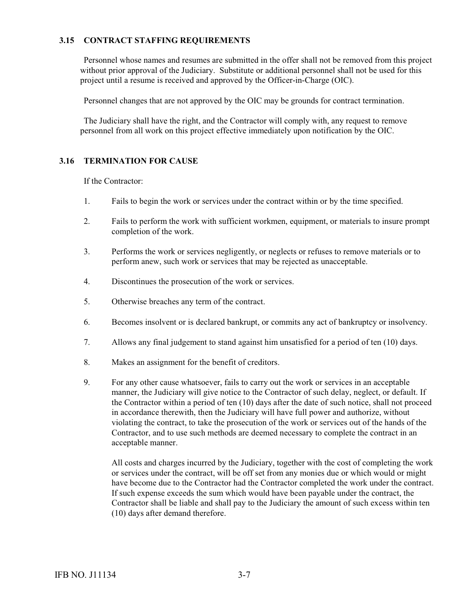# **3.15 CONTRACT STAFFING REQUIREMENTS**

Personnel whose names and resumes are submitted in the offer shall not be removed from this project without prior approval of the Judiciary. Substitute or additional personnel shall not be used for this project until a resume is received and approved by the Officer-in-Charge (OIC).

Personnel changes that are not approved by the OIC may be grounds for contract termination.

The Judiciary shall have the right, and the Contractor will comply with, any request to remove personnel from all work on this project effective immediately upon notification by the OIC.

#### **3.16 TERMINATION FOR CAUSE**

If the Contractor:

- 1. Fails to begin the work or services under the contract within or by the time specified.
- 2. Fails to perform the work with sufficient workmen, equipment, or materials to insure prompt completion of the work.
- 3. Performs the work or services negligently, or neglects or refuses to remove materials or to perform anew, such work or services that may be rejected as unacceptable.
- 4. Discontinues the prosecution of the work or services.
- 5. Otherwise breaches any term of the contract.
- 6. Becomes insolvent or is declared bankrupt, or commits any act of bankruptcy or insolvency.
- 7. Allows any final judgement to stand against him unsatisfied for a period of ten (10) days.
- 8. Makes an assignment for the benefit of creditors.
- 9. For any other cause whatsoever, fails to carry out the work or services in an acceptable manner, the Judiciary will give notice to the Contractor of such delay, neglect, or default. If the Contractor within a period of ten (10) days after the date of such notice, shall not proceed in accordance therewith, then the Judiciary will have full power and authorize, without violating the contract, to take the prosecution of the work or services out of the hands of the Contractor, and to use such methods are deemed necessary to complete the contract in an acceptable manner.

All costs and charges incurred by the Judiciary, together with the cost of completing the work or services under the contract, will be off set from any monies due or which would or might have become due to the Contractor had the Contractor completed the work under the contract. If such expense exceeds the sum which would have been payable under the contract, the Contractor shall be liable and shall pay to the Judiciary the amount of such excess within ten (10) days after demand therefore.